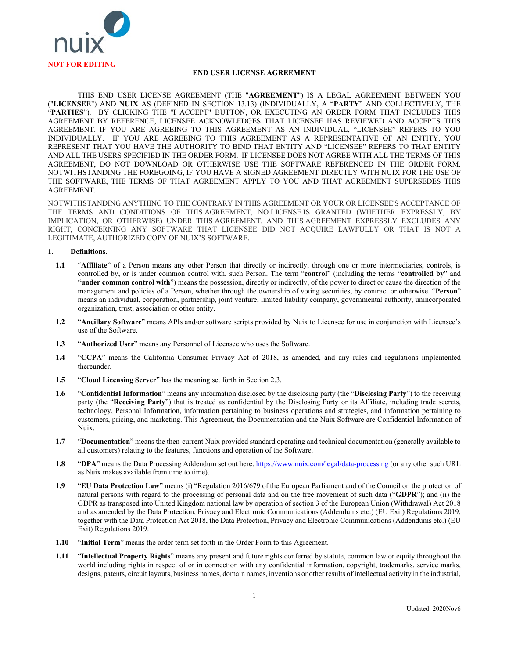

## **END USER LICENSE AGREEMENT**

THIS END USER LICENSE AGREEMENT (THE "**AGREEMENT**") IS A LEGAL AGREEMENT BETWEEN YOU ("**LICENSEE**") AND **NUIX** AS (DEFINED IN SECTION [13.13\)](#page-9-0) (INDIVIDUALLY, A "**PARTY**" AND COLLECTIVELY, THE "**PARTIES**"). BY CLICKING THE "I ACCEPT" BUTTON, OR EXECUTING AN ORDER FORM THAT INCLUDES THIS AGREEMENT BY REFERENCE, LICENSEE ACKNOWLEDGES THAT LICENSEE HAS REVIEWED AND ACCEPTS THIS AGREEMENT. IF YOU ARE AGREEING TO THIS AGREEMENT AS AN INDIVIDUAL, "LICENSEE" REFERS TO YOU INDIVIDUALLY. IF YOU ARE AGREEING TO THIS AGREEMENT AS A REPRESENTATIVE OF AN ENTITY, YOU REPRESENT THAT YOU HAVE THE AUTHORITY TO BIND THAT ENTITY AND "LICENSEE" REFERS TO THAT ENTITY AND ALL THE USERS SPECIFIED IN THE ORDER FORM. IF LICENSEE DOES NOT AGREE WITH ALL THE TERMS OF THIS AGREEMENT, DO NOT DOWNLOAD OR OTHERWISE USE THE SOFTWARE REFERENCED IN THE ORDER FORM. NOTWITHSTANDING THE FOREGOING, IF YOU HAVE A SIGNED AGREEMENT DIRECTLY WITH NUIX FOR THE USE OF THE SOFTWARE, THE TERMS OF THAT AGREEMENT APPLY TO YOU AND THAT AGREEMENT SUPERSEDES THIS AGREEMENT.

NOTWITHSTANDING ANYTHING TO THE CONTRARY IN THIS AGREEMENT OR YOUR OR LICENSEE'S ACCEPTANCE OF THE TERMS AND CONDITIONS OF THIS AGREEMENT, NO LICENSE IS GRANTED (WHETHER EXPRESSLY, BY IMPLICATION, OR OTHERWISE) UNDER THIS AGREEMENT, AND THIS AGREEMENT EXPRESSLY EXCLUDES ANY RIGHT, CONCERNING ANY SOFTWARE THAT LICENSEE DID NOT ACQUIRE LAWFULLY OR THAT IS NOT A LEGITIMATE, AUTHORIZED COPY OF NUIX'S SOFTWARE.

## <span id="page-0-0"></span>**1. Definitions**.

- **1.1** "**Affiliate**" of a Person means any other Person that directly or indirectly, through one or more intermediaries, controls, is controlled by, or is under common control with, such Person. The term "**control**" (including the terms "**controlled by**" and "**under common control with**") means the possession, directly or indirectly, of the power to direct or cause the direction of the management and policies of a Person, whether through the ownership of voting securities, by contract or otherwise. "**Person**" means an individual, corporation, partnership, joint venture, limited liability company, governmental authority, unincorporated organization, trust, association or other entity.
- **1.2** "**Ancillary Software**" means APIs and/or software scripts provided by Nuix to Licensee for use in conjunction with Licensee's use of the Software.
- **1.3** "**Authorized User**" means any Personnel of Licensee who uses the Software.
- **1.4** "**CCPA**" means the California Consumer Privacy Act of 2018, as amended, and any rules and regulations implemented thereunder.
- **1.5** "**Cloud Licensing Server**" has the meaning set forth in Sectio[n 2.3.](#page-2-0)
- **1.6** "**Confidential Information**" means any information disclosed by the disclosing party (the "**Disclosing Party**") to the receiving party (the "**Receiving Party**") that is treated as confidential by the Disclosing Party or its Affiliate, including trade secrets, technology, Personal Information, information pertaining to business operations and strategies, and information pertaining to customers, pricing, and marketing. This Agreement, the Documentation and the Nuix Software are Confidential Information of Nuix.
- **1.7** "**Documentation**" means the then-current Nuix provided standard operating and technical documentation (generally available to all customers) relating to the features, functions and operation of the Software.
- **1.8** "**DPA**" means the Data Processing Addendum set out here[: https://www.nuix.com/legal/data-processing](https://www.nuix.com/legal/data-processing) (or any other such URL as Nuix makes available from time to time).
- **1.9** "**EU Data Protection Law**" means (i) "Regulation 2016/679 of the European Parliament and of the Council on the protection of natural persons with regard to the processing of personal data and on the free movement of such data ("**GDPR**"); and (ii) the GDPR as transposed into United Kingdom national law by operation of section 3 of the European Union (Withdrawal) Act 2018 and as amended by the Data Protection, Privacy and Electronic Communications (Addendums etc.) (EU Exit) Regulations 2019, together with the Data Protection Act 2018, the Data Protection, Privacy and Electronic Communications (Addendums etc.) (EU Exit) Regulations 2019.
- **1.10** "**Initial Term**" means the order term set forth in the Order Form to this Agreement.
- **1.11** "**Intellectual Property Rights**" means any present and future rights conferred by statute, common law or equity throughout the world including rights in respect of or in connection with any confidential information, copyright, trademarks, service marks, designs, patents, circuit layouts, business names, domain names, inventions or other results of intellectual activity in the industrial,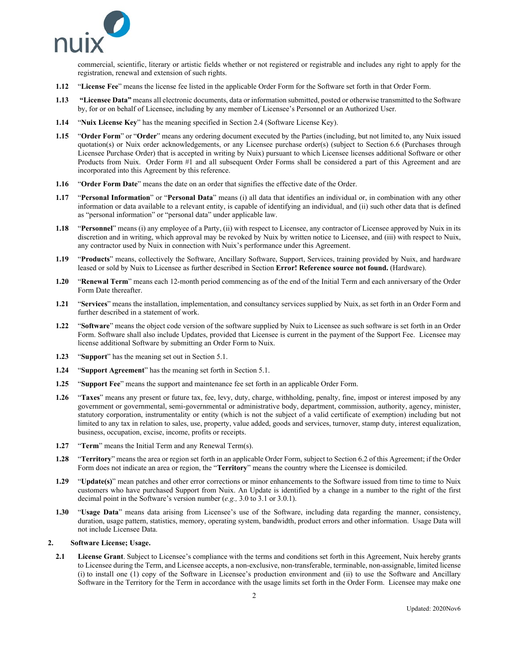

commercial, scientific, literary or artistic fields whether or not registered or registrable and includes any right to apply for the registration, renewal and extension of such rights.

- **1.12** "**License Fee**" means the license fee listed in the applicable Order Form for the Software set forth in that Order Form.
- **1.13 "Licensee Data"** means all electronic documents, data or information submitted, posted or otherwise transmitted to the Software by, for or on behalf of Licensee, including by any member of Licensee's Personnel or an Authorized User.
- **1.14** "**Nuix License Key**" has the meaning specified in Section [2.4](#page-2-1) (Software License Key).
- **1.15** "**Order Form**" or "**Order**" means any ordering document executed by the Parties (including, but not limited to, any Nuix issued quotation(s) or Nuix order acknowledgements, or any Licensee purchase order(s) (subject to Section [6.6](#page-5-0) (Purchases through Licensee Purchase Order) that is accepted in writing by Nuix) pursuant to which Licensee licenses additional Software or other Products from Nuix. Order Form #1 and all subsequent Order Forms shall be considered a part of this Agreement and are incorporated into this Agreement by this reference.
- **1.16** "**Order Form Date**" means the date on an order that signifies the effective date of the Order.
- **1.17** "**Personal Information**" or "**Personal Data**" means (i) all data that identifies an individual or, in combination with any other information or data available to a relevant entity, is capable of identifying an individual, and (ii) such other data that is defined as "personal information" or "personal data" under applicable law.
- **1.18** "**Personnel**" means (i) any employee of a Party, (ii) with respect to Licensee, any contractor of Licensee approved by Nuix in its discretion and in writing, which approval may be revoked by Nuix by written notice to Licensee, and (iii) with respect to Nuix, any contractor used by Nuix in connection with Nuix's performance under this Agreement.
- **1.19** "**Products**" means, collectively the Software, Ancillary Software, Support, Services, training provided by Nuix, and hardware leased or sold by Nuix to Licensee as further described in Section **Error! Reference source not found.** (Hardware).
- **1.20** "**Renewal Term**" means each 12-month period commencing as of the end of the Initial Term and each anniversary of the Order Form Date thereafter.
- **1.21** "**Services**" means the installation, implementation, and consultancy services supplied by Nuix, as set forth in an Order Form and further described in a statement of work.
- **1.22** "**Software**" means the object code version of the software supplied by Nuix to Licensee as such software is set forth in an Order Form. Software shall also include Updates, provided that Licensee is current in the payment of the Support Fee. Licensee may license additional Software by submitting an Order Form to Nuix.
- **1.23** "**Support**" has the meaning set out in Sectio[n 5.1.](#page-4-0)
- **1.24** "**Support Agreement**" has the meaning set forth in Sectio[n 5.1.](#page-4-0)
- **1.25** "**Support Fee**" means the support and maintenance fee set forth in an applicable Order Form.
- **1.26** "**Taxes**" means any present or future tax, fee, levy, duty, charge, withholding, penalty, fine, impost or interest imposed by any government or governmental, semi-governmental or administrative body, department, commission, authority, agency, minister, statutory corporation, instrumentality or entity (which is not the subject of a valid certificate of exemption) including but not limited to any tax in relation to sales, use, property, value added, goods and services, turnover, stamp duty, interest equalization, business, occupation, excise, income, profits or receipts.
- **1.27** "**Term**" means the Initial Term and any Renewal Term(s).
- **1.28** "**Territory**" means the area or region set forth in an applicable Order Form, subject to Sectio[n 6.2](#page-4-1) of this Agreement; if the Order Form does not indicate an area or region, the "**Territory**" means the country where the Licensee is domiciled.
- **1.29** "**Update(s)**" mean patches and other error corrections or minor enhancements to the Software issued from time to time to Nuix customers who have purchased Support from Nuix. An Update is identified by a change in a number to the right of the first decimal point in the Software's version number (*e.g.,* 3.0 to 3.1 or 3.0.1).
- **1.30** "**Usage Data**" means data arising from Licensee's use of the Software, including data regarding the manner, consistency, duration, usage pattern, statistics, memory, operating system, bandwidth, product errors and other information. Usage Data will not include Licensee Data.

## **2. Software License; Usage.**

**2.1 License Grant**. Subject to Licensee's compliance with the terms and conditions set forth in this Agreement, Nuix hereby grants to Licensee during the Term, and Licensee accepts, a non-exclusive, non-transferable, terminable, non-assignable, limited license (i) to install one (1) copy of the Software in Licensee's production environment and (ii) to use the Software and Ancillary Software in the Territory for the Term in accordance with the usage limits set forth in the Order Form. Licensee may make one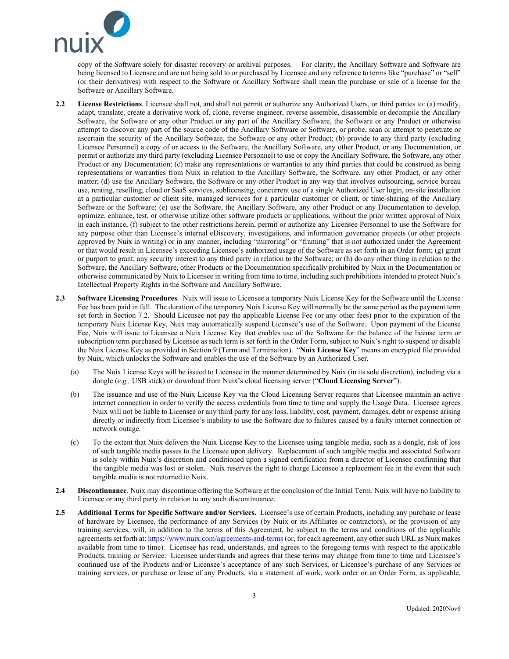<span id="page-2-4"></span>

copy of the Software solely for disaster recovery or archival purposes. For clarity, the Ancillary Software and Software are being licensed to Licensee and are not being sold to or purchased by Licensee and any reference to terms like "purchase" or "sell" (or their derivatives) with respect to the Software or Ancillary Software shall mean the purchase or sale of a license for the Software or Ancillary Software.

- <span id="page-2-2"></span>**2.2 License Restrictions**. Licensee shall not, and shall not permit or authorize any Authorized Users, or third parties to: (a) modify, adapt, translate, create a derivative work of, clone, reverse engineer, reverse assemble, disassemble or decompile the Ancillary Software, the Software or any other Product or any part of the Ancillary Software, the Software or any Product or otherwise attempt to discover any part of the source code of the Ancillary Software or Software, or probe, scan or attempt to penetrate or ascertain the security of the Ancillary Software, the Software or any other Product; (b) provide to any third party (excluding Licensee Personnel) a copy of or access to the Software, the Ancillary Software, any other Product, or any Documentation, or permit or authorize any third party (excluding Licensee Personnel) to use or copy the Ancillary Software, the Software, any other Product or any Documentation; (c) make any representations or warranties to any third parties that could be construed as being representations or warranties from Nuix in relation to the Ancillary Software, the Software, any other Product, or any other matter; (d) use the Ancillary Software, the Software or any other Product in any way that involves outsourcing, service bureau use, renting, reselling, cloud or SaaS services, sublicensing, concurrent use of a single Authorized User login, on-site installation at a particular customer or client site, managed services for a particular customer or client, or time-sharing of the Ancillary Software or the Software; (e) use the Software, the Ancillary Software, any other Product or any Documentation to develop, optimize, enhance, test, or otherwise utilize other software products or applications, without the prior written approval of Nuix in each instance, (f) subject to the other restrictions herein, permit or authorize any Licensee Personnel to use the Software for any purpose other than Licensee's internal eDiscovery, investigations, and information governance projects (or other projects approved by Nuix in writing) or in any manner, including "mirroring" or "framing" that is not authorized under the Agreement or that would result in Licensee's exceeding Licensee's authorized usage of the Software as set forth in an Order form; (g) grant or purport to grant, any security interest to any third party in relation to the Software; or (h) do any other thing in relation to the Software, the Ancillary Software, other Products or the Documentation specifically prohibited by Nuix in the Documentation or otherwise communicated by Nuix to Licensee in writing from time to time, including such prohibitions intended to protect Nuix's Intellectual Property Rights in the Software and Ancillary Software.
- <span id="page-2-0"></span>**2.3 Software Licensing Procedures**. Nuix will issue to Licensee a temporary Nuix License Key for the Software until the License Fee has been paid in full. The duration of the temporary Nuix License Key will normally be the same period as the payment term set forth in Section [7.2.](#page-5-1) Should Licensee not pay the applicable License Fee (or any other fees) prior to the expiration of the temporary Nuix License Key, Nuix may automatically suspend Licensee's use of the Software. Upon payment of the License Fee, Nuix will issue to Licensee a Nuix License Key that enables use of the Software for the balance of the license term or subscription term purchased by Licensee as such term is set forth in the Order Form, subject to Nuix's right to suspend or disable the Nuix License Key as provided in Sectio[n 9](#page-6-0) (Term and Termination). "**Nuix License Key**" means an encrypted file provided by Nuix, which unlocks the Software and enables the use of the Software by an Authorized User.
	- (a) The Nuix License Keys will be issued to Licensee in the manner determined by Nuix (in its sole discretion), including via a dongle (*e.g.,* USB stick) or download from Nuix's cloud licensing server ("**Cloud Licensing Server**").
	- (b) The issuance and use of the Nuix License Key via the Cloud Licensing Server requires that Licensee maintain an active internet connection in order to verify the access credentials from time to time and supply the Usage Data. Licensee agrees Nuix will not be liable to Licensee or any third party for any loss, liability, cost, payment, damages, debt or expense arising directly or indirectly from Licensee's inability to use the Software due to failures caused by a faulty internet connection or network outage.
	- (c) To the extent that Nuix delivers the Nuix License Key to the Licensee using tangible media, such as a dongle, risk of loss of such tangible media passes to the Licensee upon delivery. Replacement of such tangible media and associated Software is solely within Nuix's discretion and conditioned upon a signed certification from a director of Licensee confirming that the tangible media was lost or stolen. Nuix reserves the right to charge Licensee a replacement fee in the event that such tangible media is not returned to Nuix.
- <span id="page-2-1"></span>**2.4 Discontinuance**. Nuix may discontinue offering the Software at the conclusion of the Initial Term. Nuix will have no liability to Licensee or any third party in relation to any such discontinuance.
- <span id="page-2-3"></span>**2.5 Additional Terms for Specific Software and/or Services.** Licensee's use of certain Products, including any purchase or lease of hardware by Licensee, the performance of any Services (by Nuix or its Affiliates or contractors), or the provision of any training services, will, in addition to the terms of this Agreement, be subject to the terms and conditions of the applicable agreements set forth at[: https://www.nuix.com/agreements-and-terms](https://www.nuix.com/agreements-and-terms) (or, for each agreement, any other such URL as Nuix makes available from time to time). Licensee has read, understands, and agrees to the foregoing terms with respect to the applicable Products, training or Service. Licensee understands and agrees that these terms may change from time to time and Licensee's continued use of the Products and/or Licensee's acceptance of any such Services, or Licensee's purchase of any Services or training services, or purchase or lease of any Products, via a statement of work, work order or an Order Form, as applicable,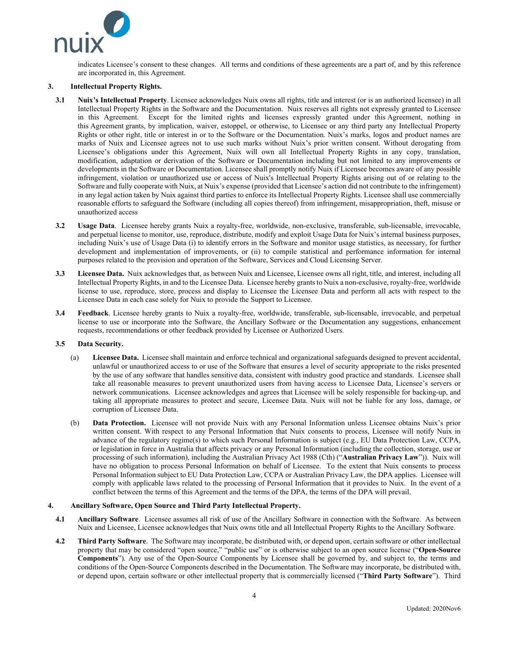

indicates Licensee's consent to these changes. All terms and conditions of these agreements are a part of, and by this reference are incorporated in, this Agreement.

## **3. Intellectual Property Rights.**

- **3.1 Nuix's Intellectual Property**. Licensee acknowledges Nuix owns all rights, title and interest (or is an authorized licensee) in all Intellectual Property Rights in the Software and the Documentation. Nuix reserves all rights not expressly granted to Licensee in this Agreement. Except for the limited rights and licenses expressly granted under this Agreement, nothing in this Agreement grants, by implication, waiver, estoppel, or otherwise, to Licensee or any third party any Intellectual Property Rights or other right, title or interest in or to the Software or the Documentation. Nuix's marks, logos and product names are marks of Nuix and Licensee agrees not to use such marks without Nuix's prior written consent. Without derogating from Licensee's obligations under this Agreement, Nuix will own all Intellectual Property Rights in any copy, translation, modification, adaptation or derivation of the Software or Documentation including but not limited to any improvements or developments in the Software or Documentation. Licensee shall promptly notify Nuix if Licensee becomes aware of any possible infringement, violation or unauthorized use or access of Nuix's Intellectual Property Rights arising out of or relating to the Software and fully cooperate with Nuix, at Nuix's expense (provided that Licensee's action did not contribute to the infringement) in any legal action taken by Nuix against third parties to enforce its Intellectual Property Rights. Licensee shall use commercially reasonable efforts to safeguard the Software (including all copies thereof) from infringement, misappropriation, theft, misuse or unauthorized access
- **3.2 Usage Data**. Licensee hereby grants Nuix a royalty-free, worldwide, non-exclusive, transferable, sub-licensable, irrevocable, and perpetual license to monitor, use, reproduce, distribute, modify and exploit Usage Data for Nuix's internal business purposes, including Nuix's use of Usage Data (i) to identify errors in the Software and monitor usage statistics, as necessary, for further development and implementation of improvements, or (ii) to compile statistical and performance information for internal purposes related to the provision and operation of the Software, Services and Cloud Licensing Server.
- **3.3 Licensee Data.** Nuix acknowledges that, as between Nuix and Licensee, Licensee owns all right, title, and interest, including all Intellectual Property Rights, in and to the Licensee Data. Licensee hereby grants to Nuix a non-exclusive, royalty-free, worldwide license to use, reproduce, store, process and display to Licensee the Licensee Data and perform all acts with respect to the Licensee Data in each case solely for Nuix to provide the Support to Licensee.
- **3.4 Feedback**. Licensee hereby grants to Nuix a royalty-free, worldwide, transferable, sub-licensable, irrevocable, and perpetual license to use or incorporate into the Software, the Ancillary Software or the Documentation any suggestions, enhancement requests, recommendations or other feedback provided by Licensee or Authorized Users.

## **3.5 Data Security.**

- (a) **Licensee Data.** Licensee shall maintain and enforce technical and organizational safeguards designed to prevent accidental, unlawful or unauthorized access to or use of the Software that ensures a level of security appropriate to the risks presented by the use of any software that handles sensitive data, consistent with industry good practice and standards. Licensee shall take all reasonable measures to prevent unauthorized users from having access to Licensee Data, Licensee's servers or network communications. Licensee acknowledges and agrees that Licensee will be solely responsible for backing-up, and taking all appropriate measures to protect and secure, Licensee Data. Nuix will not be liable for any loss, damage, or corruption of Licensee Data.
- (b) **Data Protection.** Licensee will not provide Nuix with any Personal Information unless Licensee obtains Nuix's prior written consent. With respect to any Personal Information that Nuix consents to process, Licensee will notify Nuix in advance of the regulatory regime(s) to which such Personal Information is subject (e.g., EU Data Protection Law, CCPA, or legislation in force in Australia that affects privacy or any Personal Information (including the collection, storage, use or processing of such information), including the Australian Privacy Act 1988 (Cth) ("**Australian Privacy Law**")). Nuix will have no obligation to process Personal Information on behalf of Licensee. To the extent that Nuix consents to process Personal Information subject to EU Data Protection Law, CCPA or Australian Privacy Law, the DPA applies. Licensee will comply with applicable laws related to the processing of Personal Information that it provides to Nuix. In the event of a conflict between the terms of this Agreement and the terms of the DPA, the terms of the DPA will prevail.

## **4. Ancillary Software, Open Source and Third Party Intellectual Property.**

- **4.1 Ancillary Software**. Licensee assumes all risk of use of the Ancillary Software in connection with the Software. As between Nuix and Licensee, Licensee acknowledges that Nuix owns title and all Intellectual Property Rights to the Ancillary Software.
- **4.2 Third Party Software**. The Software may incorporate, be distributed with, or depend upon, certain software or other intellectual property that may be considered "open source," "public use" or is otherwise subject to an open source license ("**Open-Source Components**"). Any use of the Open-Source Components by Licensee shall be governed by, and subject to, the terms and conditions of the Open-Source Components described in the Documentation. The Software may incorporate, be distributed with, or depend upon, certain software or other intellectual property that is commercially licensed ("**Third Party Software**"). Third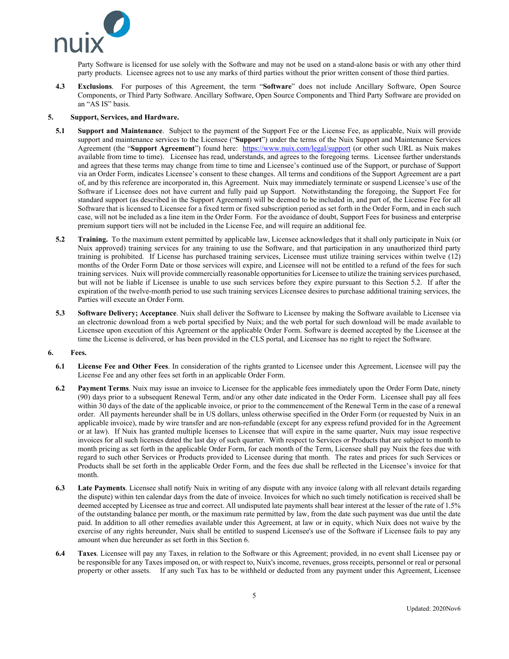

Party Software is licensed for use solely with the Software and may not be used on a stand-alone basis or with any other third party products. Licensee agrees not to use any marks of third parties without the prior written consent of those third parties.

**4.3 Exclusions**. For purposes of this Agreement, the term "**Software**" does not include Ancillary Software, Open Source Components, or Third Party Software. Ancillary Software, Open Source Components and Third Party Software are provided on an "AS IS" basis.

## **5. Support, Services, and Hardware.**

- <span id="page-4-0"></span>**5.1 Support and Maintenance**. Subject to the payment of the Support Fee or the License Fee, as applicable, Nuix will provide support and maintenance services to the Licensee ("**Support**") under the terms of the Nuix Support and Maintenance Services Agreement (the "**Support Agreement**") found here: <https://www.nuix.com/legal/support> (or other such URL as Nuix makes available from time to time). Licensee has read, understands, and agrees to the foregoing terms. Licensee further understands and agrees that these terms may change from time to time and Licensee's continued use of the Support, or purchase of Support via an Order Form, indicates Licensee's consent to these changes. All terms and conditions of the Support Agreement are a part of, and by this reference are incorporated in, this Agreement. Nuix may immediately terminate or suspend Licensee's use of the Software if Licensee does not have current and fully paid up Support. Notwithstanding the foregoing, the Support Fee for standard support (as described in the Support Agreement) will be deemed to be included in, and part of, the License Fee for all Software that is licensed to Licensee for a fixed term or fixed subscription period as set forth in the Order Form, and in each such case, will not be included as a line item in the Order Form. For the avoidance of doubt, Support Fees for business and enterprise premium support tiers will not be included in the License Fee, and will require an additional fee.
- <span id="page-4-2"></span>**5.2 Training.** To the maximum extent permitted by applicable law, Licensee acknowledges that it shall only participate in Nuix (or Nuix approved) training services for any training to use the Software, and that participation in any unauthorized third party training is prohibited. If License has purchased training services, Licensee must utilize training services within twelve (12) months of the Order Form Date or those services will expire, and Licensee will not be entitled to a refund of the fees for such training services. Nuix will provide commercially reasonable opportunities for Licensee to utilize the training services purchased, but will not be liable if Licensee is unable to use such services before they expire pursuant to this Section [5.2.](#page-4-2) If after the expiration of the twelve-month period to use such training services Licensee desires to purchase additional training services, the Parties will execute an Order Form.
- **5.3 Software Delivery; Acceptance**. Nuix shall deliver the Software to Licensee by making the Software available to Licensee via an electronic download from a web portal specified by Nuix; and the web portal for such download will be made available to Licensee upon execution of this Agreement or the applicable Order Form. Software is deemed accepted by the Licensee at the time the License is delivered, or has been provided in the CLS portal, and Licensee has no right to reject the Software.

## <span id="page-4-3"></span>**6. Fees.**

- **6.1 License Fee and Other Fees**. In consideration of the rights granted to Licensee under this Agreement, Licensee will pay the License Fee and any other fees set forth in an applicable Order Form.
- <span id="page-4-1"></span>**6.2 Payment Terms**. Nuix may issue an invoice to Licensee for the applicable fees immediately upon the Order Form Date, ninety (90) days prior to a subsequent Renewal Term, and/or any other date indicated in the Order Form. Licensee shall pay all fees within 30 days of the date of the applicable invoice, or prior to the commencement of the Renewal Term in the case of a renewal order. All payments hereunder shall be in US dollars, unless otherwise specified in the Order Form (or requested by Nuix in an applicable invoice), made by wire transfer and are non-refundable (except for any express refund provided for in the Agreement or at law). If Nuix has granted multiple licenses to Licensee that will expire in the same quarter, Nuix may issue respective invoices for all such licenses dated the last day of such quarter. With respect to Services or Products that are subject to month to month pricing as set forth in the applicable Order Form, for each month of the Term, Licensee shall pay Nuix the fees due with regard to such other Services or Products provided to Licensee during that month. The rates and prices for such Services or Products shall be set forth in the applicable Order Form, and the fees due shall be reflected in the Licensee's invoice for that month.
- **6.3 Late Payments**. Licensee shall notify Nuix in writing of any dispute with any invoice (along with all relevant details regarding the dispute) within ten calendar days from the date of invoice. Invoices for which no such timely notification is received shall be deemed accepted by Licensee as true and correct. All undisputed late payments shall bear interest at the lesser of the rate of 1.5% of the outstanding balance per month, or the maximum rate permitted by law, from the date such payment was due until the date paid. In addition to all other remedies available under this Agreement, at law or in equity, which Nuix does not waive by the exercise of any rights hereunder, Nuix shall be entitled to suspend Licensee's use of the Software if Licensee fails to pay any amount when due hereunder as set forth in this Sectio[n 6.](#page-4-3)
- **6.4 Taxes**. Licensee will pay any Taxes, in relation to the Software or this Agreement; provided, in no event shall Licensee pay or be responsible for any Taxes imposed on, or with respect to, Nuix's income, revenues, gross receipts, personnel or real or personal property or other assets. If any such Tax has to be withheld or deducted from any payment under this Agreement, Licensee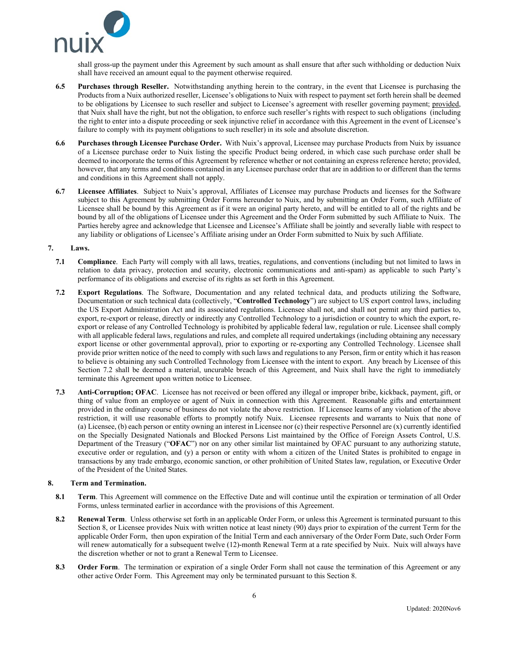<span id="page-5-3"></span>

shall gross-up the payment under this Agreement by such amount as shall ensure that after such withholding or deduction Nuix shall have received an amount equal to the payment otherwise required.

- **6.5 Purchases through Reseller.** Notwithstanding anything herein to the contrary, in the event that Licensee is purchasing the Products from a Nuix authorized reseller, Licensee's obligations to Nuix with respect to payment set forth herein shall be deemed to be obligations by Licensee to such reseller and subject to Licensee's agreement with reseller governing payment; provided, that Nuix shall have the right, but not the obligation, to enforce such reseller's rights with respect to such obligations (including the right to enter into a dispute proceeding or seek injunctive relief in accordance with this Agreement in the event of Licensee's failure to comply with its payment obligations to such reseller) in its sole and absolute discretion.
- <span id="page-5-0"></span>**6.6 Purchases through Licensee Purchase Order.** With Nuix's approval, Licensee may purchase Products from Nuix by issuance of a Licensee purchase order to Nuix listing the specific Product being ordered, in which case such purchase order shall be deemed to incorporate the terms of this Agreement by reference whether or not containing an express reference hereto; provided, however, that any terms and conditions contained in any Licensee purchase order that are in addition to or different than the terms and conditions in this Agreement shall not apply.
- **6.7 Licensee Affiliates**. Subject to Nuix's approval, Affiliates of Licensee may purchase Products and licenses for the Software subject to this Agreement by submitting Order Forms hereunder to Nuix, and by submitting an Order Form, such Affiliate of Licensee shall be bound by this Agreement as if it were an original party hereto, and will be entitled to all of the rights and be bound by all of the obligations of Licensee under this Agreement and the Order Form submitted by such Affiliate to Nuix. The Parties hereby agree and acknowledge that Licensee and Licensee's Affiliate shall be jointly and severally liable with respect to any liability or obligations of Licensee's Affiliate arising under an Order Form submitted to Nuix by such Affiliate.

#### <span id="page-5-4"></span>**7. Laws.**

- **7.1 Compliance**. Each Party will comply with all laws, treaties, regulations, and conventions (including but not limited to laws in relation to data privacy, protection and security, electronic communications and anti-spam) as applicable to such Party's performance of its obligations and exercise of its rights as set forth in this Agreement.
- <span id="page-5-1"></span>**7.2 Export Regulations**. The Software, Documentation and any related technical data, and products utilizing the Software, Documentation or such technical data (collectively, "**Controlled Technology**") are subject to US export control laws, including the US Export Administration Act and its associated regulations. Licensee shall not, and shall not permit any third parties to, export, re-export or release, directly or indirectly any Controlled Technology to a jurisdiction or country to which the export, reexport or release of any Controlled Technology is prohibited by applicable federal law, regulation or rule. Licensee shall comply with all applicable federal laws, regulations and rules, and complete all required undertakings (including obtaining any necessary export license or other governmental approval), prior to exporting or re-exporting any Controlled Technology. Licensee shall provide prior written notice of the need to comply with such laws and regulations to any Person, firm or entity which it has reason to believe is obtaining any such Controlled Technology from Licensee with the intent to export. Any breach by Licensee of this Section [7.2](#page-5-1) shall be deemed a material, uncurable breach of this Agreement, and Nuix shall have the right to immediately terminate this Agreement upon written notice to Licensee.
- **7.3 Anti-Corruption; OFAC**. Licensee has not received or been offered any illegal or improper bribe, kickback, payment, gift, or thing of value from an employee or agent of Nuix in connection with this Agreement. Reasonable gifts and entertainment provided in the ordinary course of business do not violate the above restriction. If Licensee learns of any violation of the above restriction, it will use reasonable efforts to promptly notify Nuix. Licensee represents and warrants to Nuix that none of (a) Licensee, (b) each person or entity owning an interest in Licensee nor (c) their respective Personnel are (x) currently identified on the Specially Designated Nationals and Blocked Persons List maintained by the Office of Foreign Assets Control, U.S. Department of the Treasury ("**OFAC**") nor on any other similar list maintained by OFAC pursuant to any authorizing statute, executive order or regulation, and (y) a person or entity with whom a citizen of the United States is prohibited to engage in transactions by any trade embargo, economic sanction, or other prohibition of United States law, regulation, or Executive Order of the President of the United States.

## <span id="page-5-2"></span>**8. Term and Termination.**

- **8.1 Term**. This Agreement will commence on the Effective Date and will continue until the expiration or termination of all Order Forms, unless terminated earlier in accordance with the provisions of this Agreement.
- **8.2 Renewal Term**. Unless otherwise set forth in an applicable Order Form, or unless this Agreement is terminated pursuant to this Section [8,](#page-5-2) or Licensee provides Nuix with written notice at least ninety (90) days prior to expiration of the current Term for the applicable Order Form, then upon expiration of the Initial Term and each anniversary of the Order Form Date, such Order Form will renew automatically for a subsequent twelve (12)-month Renewal Term at a rate specified by Nuix. Nuix will always have the discretion whether or not to grant a Renewal Term to Licensee.
- **8.3 Order Form**.The termination or expiration of a single Order Form shall not cause the termination of this Agreement or any other active Order Form. This Agreement may only be terminated pursuant to this Sectio[n 8.](#page-5-2)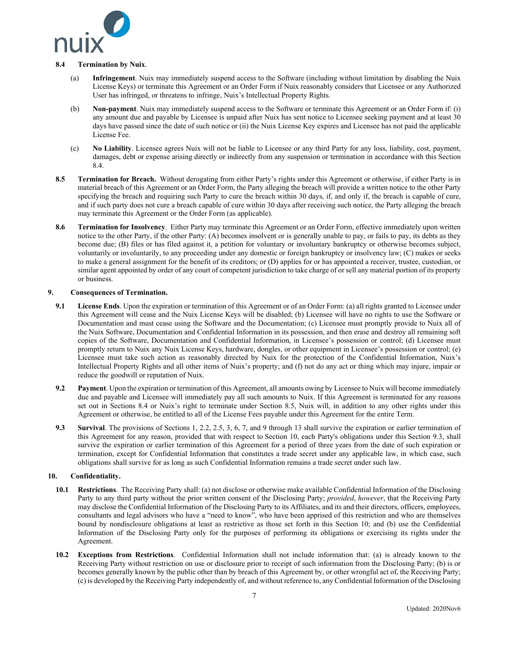

## **8.4 Termination by Nuix**.

- (a) **Infringement**. Nuix may immediately suspend access to the Software (including without limitation by disabling the Nuix License Keys) or terminate this Agreement or an Order Form if Nuix reasonably considers that Licensee or any Authorized User has infringed, or threatens to infringe, Nuix's Intellectual Property Rights.
- (b) **Non-payment**. Nuix may immediately suspend access to the Software or terminate this Agreement or an Order Form if: (i) any amount due and payable by Licensee is unpaid after Nuix has sent notice to Licensee seeking payment and at least 30 days have passed since the date of such notice or (ii) the Nuix License Key expires and Licensee has not paid the applicable License Fee.
- (c) **No Liability**. Licensee agrees Nuix will not be liable to Licensee or any third Party for any loss, liability, cost, payment, damages, debt or expense arising directly or indirectly from any suspension or termination in accordance with this Section [8.4.](#page-5-3)
- <span id="page-6-1"></span>**8.5 Termination for Breach.** Without derogating from either Party's rights under this Agreement or otherwise, if either Party is in material breach of this Agreement or an Order Form, the Party alleging the breach will provide a written notice to the other Party specifying the breach and requiring such Party to cure the breach within 30 days, if, and only if, the breach is capable of cure, and if such party does not cure a breach capable of cure within 30 days after receiving such notice, the Party alleging the breach may terminate this Agreement or the Order Form (as applicable).
- **8.6 Termination for Insolvency**. Either Party may terminate this Agreement or an Order Form, effective immediately upon written notice to the other Party, if the other Party: (A) becomes insolvent or is generally unable to pay, or fails to pay, its debts as they become due; (B) files or has filed against it, a petition for voluntary or involuntary bankruptcy or otherwise becomes subject, voluntarily or involuntarily, to any proceeding under any domestic or foreign bankruptcy or insolvency law; (C) makes or seeks to make a general assignment for the benefit of its creditors; or (D) applies for or has appointed a receiver, trustee, custodian, or similar agent appointed by order of any court of competent jurisdiction to take charge of or sell any material portion of its property or business.

# <span id="page-6-0"></span>**9. Consequences of Termination.**

- **9.1 License Ends**. Upon the expiration or termination of this Agreement or of an Order Form: (a) all rights granted to Licensee under this Agreement will cease and the Nuix License Keys will be disabled; (b) Licensee will have no rights to use the Software or Documentation and must cease using the Software and the Documentation; (c) Licensee must promptly provide to Nuix all of the Nuix Software, Documentation and Confidential Information in its possession, and then erase and destroy all remaining soft copies of the Software, Documentation and Confidential Information, in Licensee's possession or control; (d) Licensee must promptly return to Nuix any Nuix License Keys, hardware, dongles, or other equipment in Licensee's possession or control; (e) Licensee must take such action as reasonably directed by Nuix for the protection of the Confidential Information, Nuix's Intellectual Property Rights and all other items of Nuix's property; and (f) not do any act or thing which may injure, impair or reduce the goodwill or reputation of Nuix.
- **9.2 Payment**. Upon the expiration or termination of this Agreement, all amounts owing by Licensee to Nuix will become immediately due and payable and Licensee will immediately pay all such amounts to Nuix. If this Agreement is terminated for any reasons set out in Sections [8.4](#page-5-3) or Nuix's right to terminate under Section [8.5,](#page-6-1) Nuix will, in addition to any other rights under this Agreement or otherwise, be entitled to all of the License Fees payable under this Agreement for the entire Term.
- <span id="page-6-3"></span>**9.3 Survival**. The provisions of Sections [1,](#page-0-0) [2.2,](#page-2-2) [2.5,](#page-2-3) [3,](#page-2-4) [6,](#page-4-3) [7,](#page-5-4) and [9](#page-6-0) through [13](#page-8-0) shall survive the expiration or earlier termination of this Agreement for any reason, provided that with respect to Section [10,](#page-6-2) each Party's obligations under this Section [9.3,](#page-6-3) shall survive the expiration or earlier termination of this Agreement for a period of three years from the date of such expiration or termination, except for Confidential Information that constitutes a trade secret under any applicable law, in which case, such obligations shall survive for as long as such Confidential Information remains a trade secret under such law.

# <span id="page-6-2"></span>**10. Confidentiality.**

- **10.1 Restrictions**. The Receiving Party shall: (a) not disclose or otherwise make available Confidential Information of the Disclosing Party to any third party without the prior written consent of the Disclosing Party; *provided*, *however*, that the Receiving Party may disclose the Confidential Information of the Disclosing Party to its Affiliates, and its and their directors, officers, employees, consultants and legal advisors who have a "need to know", who have been apprised of this restriction and who are themselves bound by nondisclosure obligations at least as restrictive as those set forth in this Section [10;](#page-6-2) and (b) use the Confidential Information of the Disclosing Party only for the purposes of performing its obligations or exercising its rights under the Agreement.
- **10.2 Exceptions from Restrictions**. Confidential Information shall not include information that: (a) is already known to the Receiving Party without restriction on use or disclosure prior to receipt of such information from the Disclosing Party; (b) is or becomes generally known by the public other than by breach of this Agreement by, or other wrongful act of, the Receiving Party; (c) is developed by the Receiving Party independently of, and without reference to, any Confidential Information of the Disclosing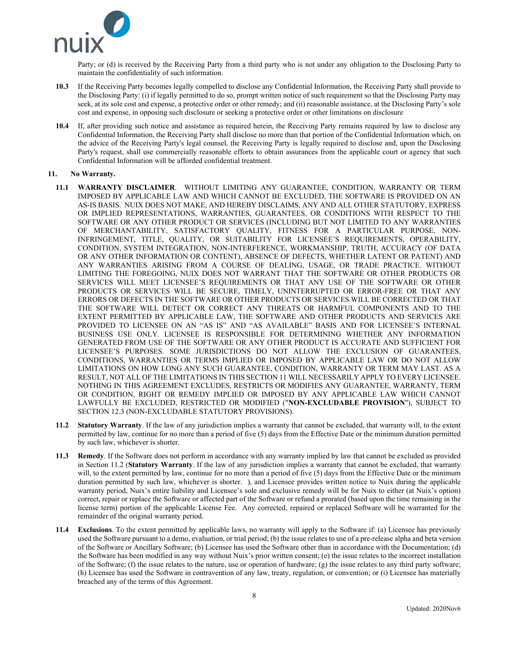<span id="page-7-3"></span>

Party; or (d) is received by the Receiving Party from a third party who is not under any obligation to the Disclosing Party to maintain the confidentiality of such information.

- **10.3** If the Receiving Party becomes legally compelled to disclose any Confidential Information, the Receiving Party shall provide to the Disclosing Party: (i) if legally permitted to do so, prompt written notice of such requirement so that the Disclosing Party may seek, at its sole cost and expense, a protective order or other remedy; and (ii) reasonable assistance, at the Disclosing Party's sole cost and expense, in opposing such disclosure or seeking a protective order or other limitations on disclosure
- **10.4** If, after providing such notice and assistance as required herein, the Receiving Party remains required by law to disclose any Confidential Information, the Receiving Party shall disclose no more than that portion of the Confidential Information which, on the advice of the Receiving Party's legal counsel, the Receiving Party is legally required to disclose and, upon the Disclosing Party's request, shall use commercially reasonable efforts to obtain assurances from the applicable court or agency that such Confidential Information will be afforded confidential treatment.

## <span id="page-7-0"></span>**11. No Warranty.**

- <span id="page-7-2"></span>**11.1 WARRANTY DISCLAIMER**. WITHOUT LIMITING ANY GUARANTEE, CONDITION, WARRANTY OR TERM IMPOSED BY APPLICABLE LAW AND WHICH CANNOT BE EXCLUDED, THE SOFTWARE IS PROVIDED ON AN AS-IS BASIS. NUIX DOES NOT MAKE, AND HEREBY DISCLAIMS, ANY AND ALL OTHER STATUTORY, EXPRESS OR IMPLIED REPRESENTATIONS, WARRANTIES, GUARANTEES, OR CONDITIONS WITH RESPECT TO THE SOFTWARE OR ANY OTHER PRODUCT OR SERVICES (INCLUDING BUT NOT LIMITED TO ANY WARRANTIES OF MERCHANTABILITY, SATISFACTORY QUALITY, FITNESS FOR A PARTICULAR PURPOSE, NON-INFRINGEMENT, TITLE, QUALITY, OR SUITABILITY FOR LICENSEE'S REQUIREMENTS, OPERABILITY, CONDITION, SYSTEM INTEGRATION, NON-INTERFERENCE, WORKMANSHIP, TRUTH, ACCURACY (OF DATA OR ANY OTHER INFORMATION OR CONTENT), ABSENCE OF DEFECTS, WHETHER LATENT OR PATENT) AND ANY WARRANTIES ARISING FROM A COURSE OF DEALING, USAGE, OR TRADE PRACTICE. WITHOUT LIMITING THE FOREGOING, NUIX DOES NOT WARRANT THAT THE SOFTWARE OR OTHER PRODUCTS OR SERVICES WILL MEET LICENSEE'S REQUIREMENTS OR THAT ANY USE OF THE SOFTWARE OR OTHER PRODUCTS OR SERVICES WILL BE SECURE, TIMELY, UNINTERRUPTED OR ERROR-FREE OR THAT ANY ERRORS OR DEFECTS IN THE SOFTWARE OR OTHER PRODUCTS OR SERVICES WILL BE CORRECTED OR THAT THE SOFTWARE WILL DETECT OR CORRECT ANY THREATS OR HARMFUL COMPONENTS AND TO THE EXTENT PERMITTED BY APPLICABLE LAW, THE SOFTWARE AND OTHER PRODUCTS AND SERVICES ARE PROVIDED TO LICENSEE ON AN "AS IS" AND "AS AVAILABLE" BASIS AND FOR LICENSEE'S INTERNAL BUSINESS USE ONLY. LICENSEE IS RESPONSIBLE FOR DETERMINING WHETHER ANY INFORMATION GENERATED FROM USE OF THE SOFTWARE OR ANY OTHER PRODUCT IS ACCURATE AND SUFFICIENT FOR LICENSEE'S PURPOSES. SOME JURISDICTIONS DO NOT ALLOW THE EXCLUSION OF GUARANTEES, CONDITIONS, WARRANTIES OR TERMS IMPLIED OR IMPOSED BY APPLICABLE LAW OR DO NOT ALLOW LIMITATIONS ON HOW LONG ANY SUCH GUARANTEE, CONDITION, WARRANTY OR TERM MAY LAST. AS A RESULT, NOT ALL OF THE LIMITATIONS IN THIS SECTIO[N 11](#page-7-0) WILL NECESSARILY APPLY TO EVERY LICENSEE. NOTHING IN THIS AGREEMENT EXCLUDES, RESTRICTS OR MODIFIES ANY GUARANTEE, WARRANTY, TERM OR CONDITION, RIGHT OR REMEDY IMPLIED OR IMPOSED BY ANY APPLICABLE LAW WHICH CANNOT LAWFULLY BE EXCLUDED, RESTRICTED OR MODIFIED ("**NON-EXCLUDABLE PROVISION**"), SUBJECT TO SECTION [12.3](#page-8-1) (NON-EXCLUDABLE STATUTORY PROVISIONS).
- <span id="page-7-1"></span>**11.2 Statutory Warranty**. If the law of any jurisdiction implies a warranty that cannot be excluded, that warranty will, to the extent permitted by law, continue for no more than a period of five (5) days from the Effective Date or the minimum duration permitted by such law, whichever is shorter.
- **11.3 Remedy**. If the Software does not perform in accordance with any warranty implied by law that cannot be excluded as provided in Section [11.2](#page-7-1) (**Statutory Warranty**. [If the law of any jurisdiction implies a warranty that cannot be excluded, that warranty](#page-7-1)  will, to the extent permitted by law, continue for no more than a period of five (5) days from the Effective Date or the minimum [duration permitted by such law, whichever is shorter. \)](#page-7-1), and Licensee provides written notice to Nuix during the applicable warranty period, Nuix's entire liability and Licensee's sole and exclusive remedy will be for Nuix to either (at Nuix's option) correct, repair or replace the Software or affected part of the Software or refund a prorated (based upon the time remaining in the license term) portion of the applicable License Fee. Any corrected, repaired or replaced Software will be warranted for the remainder of the original warranty period.
- **11.4 Exclusions**. To the extent permitted by applicable laws, no warranty will apply to the Software if: (a) Licensee has previously used the Software pursuant to a demo, evaluation, or trial period; (b) the issue relates to use of a pre-release alpha and beta version of the Software or Ancillary Software; (b) Licensee has used the Software other than in accordance with the Documentation; (d) the Software has been modified in any way without Nuix's prior written consent; (e) the issue relates to the incorrect installation of the Software; (f) the issue relates to the nature, use or operation of hardware; (g) the issue relates to any third party software; (h) Licensee has used the Software in contravention of any law, treaty, regulation, or convention; or (i) Licensee has materially breached any of the terms of this Agreement.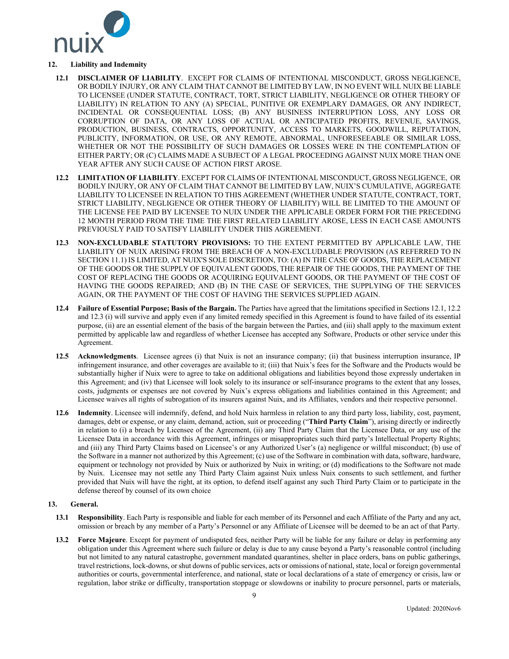

# **12. Liability and Indemnity**

- **12.1 DISCLAIMER OF LIABILITY**. EXCEPT FOR CLAIMS OF INTENTIONAL MISCONDUCT, GROSS NEGLIGENCE, OR BODILY INJURY, OR ANY CLAIM THAT CANNOT BE LIMITED BY LAW, IN NO EVENT WILL NUIX BE LIABLE TO LICENSEE (UNDER STATUTE, CONTRACT, TORT, STRICT LIABILITY, NEGLIGENCE OR OTHER THEORY OF LIABILITY) IN RELATION TO ANY (A) SPECIAL, PUNITIVE OR EXEMPLARY DAMAGES, OR ANY INDIRECT, INCIDENTAL OR CONSEQUENTIAL LOSS; (B) ANY BUSINESS INTERRUPTION LOSS, ANY LOSS OR CORRUPTION OF DATA, OR ANY LOSS OF ACTUAL OR ANTICIPATED PROFITS, REVENUE, SAVINGS, PRODUCTION, BUSINESS, CONTRACTS, OPPORTUNITY, ACCESS TO MARKETS, GOODWILL, REPUTATION, PUBLICITY, INFORMATION, OR USE, OR ANY REMOTE, ABNORMAL, UNFORESEEABLE OR SIMILAR LOSS, WHETHER OR NOT THE POSSIBILITY OF SUCH DAMAGES OR LOSSES WERE IN THE CONTEMPLATION OF EITHER PARTY; OR (C) CLAIMS MADE A SUBJECT OF A LEGAL PROCEEDING AGAINST NUIX MORE THAN ONE YEAR AFTER ANY SUCH CAUSE OF ACTION FIRST AROSE.
- <span id="page-8-2"></span>**12.2 LIMITATION OF LIABILITY**. EXCEPT FOR CLAIMS OF INTENTIONAL MISCONDUCT, GROSS NEGLIGENCE, OR BODILY INJURY, OR ANY OF CLAIM THAT CANNOT BE LIMITED BY LAW, NUIX'S CUMULATIVE, AGGREGATE LIABILITY TO LICENSEE IN RELATION TO THIS AGREEMENT (WHETHER UNDER STATUTE, CONTRACT, TORT, STRICT LIABILITY, NEGLIGENCE OR OTHER THEORY OF LIABILITY) WILL BE LIMITED TO THE AMOUNT OF THE LICENSE FEE PAID BY LICENSEE TO NUIX UNDER THE APPLICABLE ORDER FORM FOR THE PRECEDING 12 MONTH PERIOD FROM THE TIME THE FIRST RELATED LIABILITY AROSE, LESS IN EACH CASE AMOUNTS PREVIOUSLY PAID TO SATISFY LIABILITY UNDER THIS AGREEMENT.
- <span id="page-8-1"></span>**12.3 NON-EXCLUDABLE STATUTORY PROVISIONS:** TO THE EXTENT PERMITTED BY APPLICABLE LAW, THE LIABILITY OF NUIX ARISING FROM THE BREACH OF A NON-EXCLUDABLE PROVISION (AS REFERRED TO IN SECTIO[N 11.1\)](#page-7-2) IS LIMITED, AT NUIX'S SOLE DISCRETION, TO: (A) IN THE CASE OF GOODS, THE REPLACEMENT OF THE GOODS OR THE SUPPLY OF EQUIVALENT GOODS, THE REPAIR OF THE GOODS, THE PAYMENT OF THE COST OF REPLACING THE GOODS OR ACQUIRING EQUIVALENT GOODS, OR THE PAYMENT OF THE COST OF HAVING THE GOODS REPAIRED; AND (B) IN THE CASE OF SERVICES, THE SUPPLYING OF THE SERVICES AGAIN, OR THE PAYMENT OF THE COST OF HAVING THE SERVICES SUPPLIED AGAIN.
- **12.4 Failure of Essential Purpose; Basis of the Bargain.** The Parties have agreed that the limitations specified in Section[s 12.1,](#page-7-3) [12.2](#page-8-2) and [12.3](#page-8-1) (i) will survive and apply even if any limited remedy specified in this Agreement is found to have failed of its essential purpose, (ii) are an essential element of the basis of the bargain between the Parties, and (iii) shall apply to the maximum extent permitted by applicable law and regardless of whether Licensee has accepted any Software, Products or other service under this Agreement.
- **12.5 Acknowledgments**. Licensee agrees (i) that Nuix is not an insurance company; (ii) that business interruption insurance, IP infringement insurance, and other coverages are available to it; (iii) that Nuix's fees for the Software and the Products would be substantially higher if Nuix were to agree to take on additional obligations and liabilities beyond those expressly undertaken in this Agreement; and (iv) that Licensee will look solely to its insurance or self-insurance programs to the extent that any losses, costs, judgments or expenses are not covered by Nuix's express obligations and liabilities contained in this Agreement; and Licensee waives all rights of subrogation of its insurers against Nuix, and its Affiliates, vendors and their respective personnel.
- **12.6 Indemnity**. Licensee will indemnify, defend, and hold Nuix harmless in relation to any third party loss, liability, cost, payment, damages, debt or expense, or any claim, demand, action, suit or proceeding ("**Third Party Claim**"), arising directly or indirectly in relation to (i) a breach by Licensee of the Agreement, (ii) any Third Party Claim that the Licensee Data, or any use of the Licensee Data in accordance with this Agreement, infringes or misappropriates such third party's Intellectual Property Rights; and (iii) any Third Party Claims based on Licensee's or any Authorized User's (a) negligence or willful misconduct; (b) use of the Software in a manner not authorized by this Agreement; (c) use of the Software in combination with data, software, hardware, equipment or technology not provided by Nuix or authorized by Nuix in writing; or (d) modifications to the Software not made by Nuix. Licensee may not settle any Third Party Claim against Nuix unless Nuix consents to such settlement, and further provided that Nuix will have the right, at its option, to defend itself against any such Third Party Claim or to participate in the defense thereof by counsel of its own choice

## <span id="page-8-0"></span>**13. General.**

- **13.1 Responsibility**. Each Party is responsible and liable for each member of its Personnel and each Affiliate of the Party and any act, omission or breach by any member of a Party's Personnel or any Affiliate of Licensee will be deemed to be an act of that Party.
- **13.2 Force Majeure**. Except for payment of undisputed fees, neither Party will be liable for any failure or delay in performing any obligation under this Agreement where such failure or delay is due to any cause beyond a Party's reasonable control (including but not limited to any natural catastrophe, government mandated quarantines, shelter in place orders, bans on public gatherings, travel restrictions, lock-downs, or shut downs of public services, acts or omissions of national, state, local or foreign governmental authorities or courts, governmental interference, and national, state or local declarations of a state of emergency or crisis, law or regulation, labor strike or difficulty, transportation stoppage or slowdowns or inability to procure personnel, parts or materials,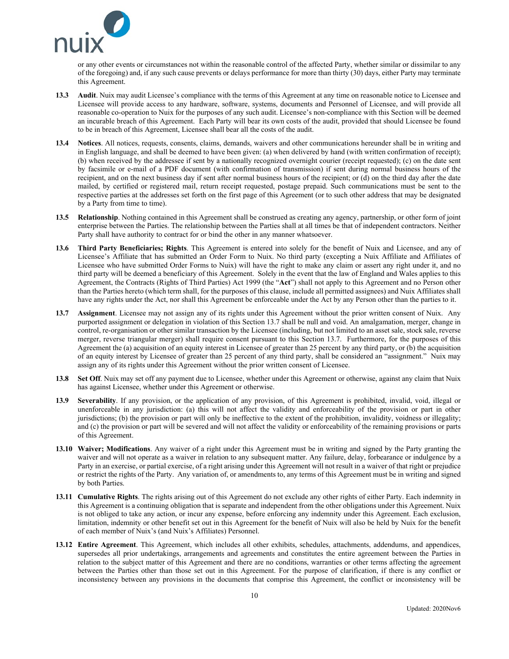<span id="page-9-0"></span>

or any other events or circumstances not within the reasonable control of the affected Party, whether similar or dissimilar to any of the foregoing) and, if any such cause prevents or delays performance for more than thirty (30) days, either Party may terminate this Agreement.

- **13.3 Audit**. Nuix may audit Licensee's compliance with the terms of this Agreement at any time on reasonable notice to Licensee and Licensee will provide access to any hardware, software, systems, documents and Personnel of Licensee, and will provide all reasonable co-operation to Nuix for the purposes of any such audit. Licensee's non-compliance with this Section will be deemed an incurable breach of this Agreement. Each Party will bear its own costs of the audit, provided that should Licensee be found to be in breach of this Agreement, Licensee shall bear all the costs of the audit.
- **13.4 Notices**. All notices, requests, consents, claims, demands, waivers and other communications hereunder shall be in writing and in English language, and shall be deemed to have been given: (a) when delivered by hand (with written confirmation of receipt); (b) when received by the addressee if sent by a nationally recognized overnight courier (receipt requested); (c) on the date sent by facsimile or e-mail of a PDF document (with confirmation of transmission) if sent during normal business hours of the recipient, and on the next business day if sent after normal business hours of the recipient; or (d) on the third day after the date mailed, by certified or registered mail, return receipt requested, postage prepaid. Such communications must be sent to the respective parties at the addresses set forth on the first page of this Agreement (or to such other address that may be designated by a Party from time to time).
- **13.5 Relationship**. Nothing contained in this Agreement shall be construed as creating any agency, partnership, or other form of joint enterprise between the Parties. The relationship between the Parties shall at all times be that of independent contractors. Neither Party shall have authority to contract for or bind the other in any manner whatsoever.
- **13.6 Third Party Beneficiaries; Rights**. This Agreement is entered into solely for the benefit of Nuix and Licensee, and any of Licensee's Affiliate that has submitted an Order Form to Nuix. No third party (excepting a Nuix Affiliate and Affiliates of Licensee who have submitted Order Forms to Nuix) will have the right to make any claim or assert any right under it, and no third party will be deemed a beneficiary of this Agreement. Solely in the event that the law of England and Wales applies to this Agreement, the Contracts (Rights of Third Parties) Act 1999 (the "**Act**") shall not apply to this Agreement and no Person other than the Parties hereto (which term shall, for the purposes of this clause, include all permitted assignees) and Nuix Affiliates shall have any rights under the Act, nor shall this Agreement be enforceable under the Act by any Person other than the parties to it.
- <span id="page-9-1"></span>**13.7 Assignment**. Licensee may not assign any of its rights under this Agreement without the prior written consent of Nuix. Any purported assignment or delegation in violation of this Section [13.7](#page-9-1) shall be null and void. An amalgamation, merger, change in control, re-organisation or other similar transaction by the Licensee (including, but not limited to an asset sale, stock sale, reverse merger, reverse triangular merger) shall require consent pursuant to this Section [13.7.](#page-9-1) Furthermore, for the purposes of this Agreement the (a) acquisition of an equity interest in Licensee of greater than 25 percent by any third party, or (b) the acquisition of an equity interest by Licensee of greater than 25 percent of any third party, shall be considered an "assignment." Nuix may assign any of its rights under this Agreement without the prior written consent of Licensee.
- **13.8 Set Off**. Nuix may set off any payment due to Licensee, whether under this Agreement or otherwise, against any claim that Nuix has against Licensee, whether under this Agreement or otherwise.
- **13.9 Severability**. If any provision, or the application of any provision, of this Agreement is prohibited, invalid, void, illegal or unenforceable in any jurisdiction: (a) this will not affect the validity and enforceability of the provision or part in other jurisdictions; (b) the provision or part will only be ineffective to the extent of the prohibition, invalidity, voidness or illegality; and (c) the provision or part will be severed and will not affect the validity or enforceability of the remaining provisions or parts of this Agreement.
- **13.10 Waiver; Modifications**. Any waiver of a right under this Agreement must be in writing and signed by the Party granting the waiver and will not operate as a waiver in relation to any subsequent matter. Any failure, delay, forbearance or indulgence by a Party in an exercise, or partial exercise, of a right arising under this Agreement will not result in a waiver of that right or prejudice or restrict the rights of the Party. Any variation of, or amendments to, any terms of this Agreement must be in writing and signed by both Parties.
- **13.11 Cumulative Rights**. The rights arising out of this Agreement do not exclude any other rights of either Party. Each indemnity in this Agreement is a continuing obligation that is separate and independent from the other obligations under this Agreement. Nuix is not obliged to take any action, or incur any expense, before enforcing any indemnity under this Agreement. Each exclusion, limitation, indemnity or other benefit set out in this Agreement for the benefit of Nuix will also be held by Nuix for the benefit of each member of Nuix's (and Nuix's Affiliates) Personnel.
- **13.12 Entire Agreement**. This Agreement, which includes all other exhibits, schedules, attachments, addendums, and appendices, supersedes all prior undertakings, arrangements and agreements and constitutes the entire agreement between the Parties in relation to the subject matter of this Agreement and there are no conditions, warranties or other terms affecting the agreement between the Parties other than those set out in this Agreement. For the purpose of clarification, if there is any conflict or inconsistency between any provisions in the documents that comprise this Agreement, the conflict or inconsistency will be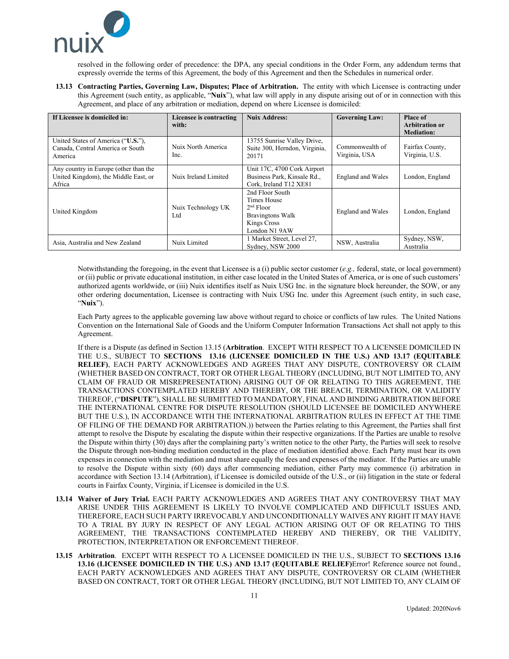

resolved in the following order of precedence: the DPA, any special conditions in the Order Form, any addendum terms that expressly override the terms of this Agreement, the body of this Agreement and then the Schedules in numerical order.

**13.13 Contracting Parties, Governing Law, Disputes; Place of Arbitration.** The entity with which Licensee is contracting under this Agreement (such entity, as applicable, "**Nuix**"), what law will apply in any dispute arising out of or in connection with this Agreement, and place of any arbitration or mediation, depend on where Licensee is domiciled:

| If Licensee is domiciled in:                                                            | Licensee is contracting<br>with: | <b>Nuix Address:</b>                                                                                            | <b>Governing Law:</b>            | Place of<br><b>Arbitration or</b><br><b>Mediation:</b> |
|-----------------------------------------------------------------------------------------|----------------------------------|-----------------------------------------------------------------------------------------------------------------|----------------------------------|--------------------------------------------------------|
| United States of America ("U.S."),<br>Canada, Central America or South<br>America       | Nuix North America<br>Inc.       | 13755 Sunrise Valley Drive,<br>Suite 300, Herndon, Virginia,<br>20171                                           | Commonwealth of<br>Virginia, USA | Fairfax County,<br>Virginia, U.S.                      |
| Any country in Europe (other than the<br>United Kingdom), the Middle East, or<br>Africa | Nuix Ireland Limited             | Unit 17C, 4700 Cork Airport<br>Business Park, Kinsale Rd.,<br>Cork, Ireland T12 XE81                            | England and Wales                | London, England                                        |
| United Kingdom                                                                          | Nuix Technology UK<br>Ltd        | 2nd Floor South<br>Times House<br>$2nd$ Floor<br><b>Bravingtons Walk</b><br><b>Kings Cross</b><br>London N1 9AW | England and Wales                | London, England                                        |
| Asia, Australia and New Zealand                                                         | Nuix Limited                     | 1 Market Street, Level 27,<br>Sydney, NSW 2000                                                                  | NSW, Australia                   | Sydney, NSW,<br>Australia                              |

Notwithstanding the foregoing, in the event that Licensee is a (i) public sector customer (*e.g.,* federal, state, or local government) or (ii) public or private educational institution, in either case located in the United States of America, or is one of such customers' authorized agents worldwide, or (iii) Nuix identifies itself as Nuix USG Inc. in the signature block hereunder, the SOW, or any other ordering documentation, Licensee is contracting with Nuix USG Inc. under this Agreement (such entity, in such case, "**Nuix**").

Each Party agrees to the applicable governing law above without regard to choice or conflicts of law rules. The United Nations Convention on the International Sale of Goods and the Uniform Computer Information Transactions Act shall not apply to this Agreement.

If there is a Dispute (as defined in Sectio[n 13.15](#page-10-0) (**Arbitration**.[EXCEPT WITH RESPECT TO A LICENSEE DOMICILED IN](#page-10-0)  THE U.S., SUBJECT TO **[SECTIONS 13.16 \(LICENSEE DOMICILED IN THE U.S.\) AND](#page-10-0) 13.17 (EQUITABLE RELIEF)**[, EACH PARTY ACKNOWLEDGES AND AGREES THAT ANY DISPUTE, CONTROVERSY OR CLAIM](#page-10-0)  [\(WHETHER BASED ON CONTRACT, TORT OR OTHER LEGAL THEORY \(INCLUDING, BUT NOT LIMITED TO, ANY](#page-10-0)  [CLAIM OF FRAUD OR MISREPRESENTATION\) ARISING OUT OF OR RELATING TO THIS AGREEMENT, THE](#page-10-0)  [TRANSACTIONS CONTEMPLATED HEREBY AND THEREBY, OR THE BREACH, TERMINATION, OR VALIDITY](#page-10-0)  THEREOF, ("**DISPUTE**["\), SHALL BE SUBMITTED TO MANDATORY, FINAL AND BINDING ARBITRATION BEFORE](#page-10-0)  [THE INTERNATIONAL CENTRE FOR DISPUTE RESOLUTION \(SHOULD LICENSEE BE DOMICILED ANYWHERE](#page-10-0)  [BUT THE U.S.\), IN ACCORDANCE WITH THE INTERNATIONAL ARBITRATION RULES IN EFFECT AT THE TIME](#page-10-0)  [OF FILING OF THE DEMAND FOR ARBITRATION.\)](#page-10-0)) between the Parties relating to this Agreement, the Parties shall first attempt to resolve the Dispute by escalating the dispute within their respective organizations. If the Parties are unable to resolve the Dispute within thirty (30) days after the complaining party's written notice to the other Party, the Parties will seek to resolve the Dispute through non-binding mediation conducted in the place of mediation identified above. Each Party must bear its own expenses in connection with the mediation and must share equally the fees and expenses of the mediator. If the Parties are unable to resolve the Dispute within sixty (60) days after commencing mediation, either Party may commence (i) arbitration in accordance with Sectio[n 13.14](#page-10-1) (Arbitration), if Licensee is domiciled outside of the U.S., or (ii) litigation in the state or federal courts in Fairfax County, Virginia, if Licensee is domiciled in the U.S.

- <span id="page-10-1"></span>**13.14 Waiver of Jury Trial.** EACH PARTY ACKNOWLEDGES AND AGREES THAT ANY CONTROVERSY THAT MAY ARISE UNDER THIS AGREEMENT IS LIKELY TO INVOLVE COMPLICATED AND DIFFICULT ISSUES AND, THEREFORE, EACH SUCH PARTY IRREVOCABLY AND UNCONDITIONALLY WAIVES ANY RIGHT IT MAY HAVE TO A TRIAL BY JURY IN RESPECT OF ANY LEGAL ACTION ARISING OUT OF OR RELATING TO THIS AGREEMENT, THE TRANSACTIONS CONTEMPLATED HEREBY AND THEREBY, OR THE VALIDITY, PROTECTION, INTERPRETATION OR ENFORCEMENT THEREOF.
- <span id="page-10-0"></span>**13.15 Arbitration**.EXCEPT WITH RESPECT TO A LICENSEE DOMICILED IN THE U.S., SUBJECT TO **SECTIONS [13.16](#page-11-0) [13.16](#page-11-0) (LICENSEE DOMICILED IN THE U.S.) AND [13.17](#page-11-1) (EQUITABLE RELIEF)**Error! Reference source not found., EACH PARTY ACKNOWLEDGES AND AGREES THAT ANY DISPUTE, CONTROVERSY OR CLAIM (WHETHER BASED ON CONTRACT, TORT OR OTHER LEGAL THEORY (INCLUDING, BUT NOT LIMITED TO, ANY CLAIM OF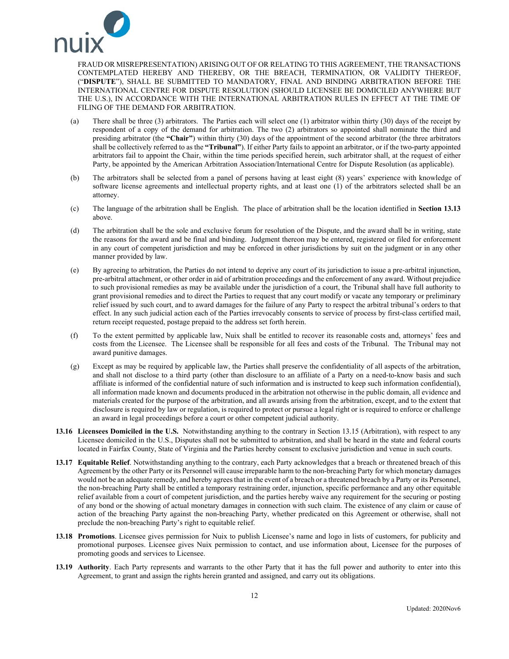

FRAUD OR MISREPRESENTATION) ARISING OUT OF OR RELATING TO THIS AGREEMENT, THE TRANSACTIONS CONTEMPLATED HEREBY AND THEREBY, OR THE BREACH, TERMINATION, OR VALIDITY THEREOF, ("**DISPUTE**"), SHALL BE SUBMITTED TO MANDATORY, FINAL AND BINDING ARBITRATION BEFORE THE INTERNATIONAL CENTRE FOR DISPUTE RESOLUTION (SHOULD LICENSEE BE DOMICILED ANYWHERE BUT THE U.S.), IN ACCORDANCE WITH THE INTERNATIONAL ARBITRATION RULES IN EFFECT AT THE TIME OF FILING OF THE DEMAND FOR ARBITRATION.

- (a) There shall be three (3) arbitrators. The Parties each will select one (1) arbitrator within thirty (30) days of the receipt by respondent of a copy of the demand for arbitration. The two (2) arbitrators so appointed shall nominate the third and presiding arbitrator (the **"Chair"**) within thirty (30) days of the appointment of the second arbitrator (the three arbitrators shall be collectively referred to as the **"Tribunal"**). If either Party fails to appoint an arbitrator, or if the two-party appointed arbitrators fail to appoint the Chair, within the time periods specified herein, such arbitrator shall, at the request of either Party, be appointed by the American Arbitration Association/International Centre for Dispute Resolution (as applicable).
- (b) The arbitrators shall be selected from a panel of persons having at least eight (8) years' experience with knowledge of software license agreements and intellectual property rights, and at least one (1) of the arbitrators selected shall be an attorney.
- (c) The language of the arbitration shall be English. The place of arbitration shall be the location identified in **Section [13.13](#page-9-0)** above.
- (d) The arbitration shall be the sole and exclusive forum for resolution of the Dispute, and the award shall be in writing, state the reasons for the award and be final and binding. Judgment thereon may be entered, registered or filed for enforcement in any court of competent jurisdiction and may be enforced in other jurisdictions by suit on the judgment or in any other manner provided by law.
- (e) By agreeing to arbitration, the Parties do not intend to deprive any court of its jurisdiction to issue a pre-arbitral injunction, pre-arbitral attachment, or other order in aid of arbitration proceedings and the enforcement of any award. Without prejudice to such provisional remedies as may be available under the jurisdiction of a court, the Tribunal shall have full authority to grant provisional remedies and to direct the Parties to request that any court modify or vacate any temporary or preliminary relief issued by such court, and to award damages for the failure of any Party to respect the arbitral tribunal's orders to that effect. In any such judicial action each of the Parties irrevocably consents to service of process by first-class certified mail, return receipt requested, postage prepaid to the address set forth herein.
- (f) To the extent permitted by applicable law, Nuix shall be entitled to recover its reasonable costs and, attorneys' fees and costs from the Licensee. The Licensee shall be responsible for all fees and costs of the Tribunal. The Tribunal may not award punitive damages.
- (g) Except as may be required by applicable law, the Parties shall preserve the confidentiality of all aspects of the arbitration, and shall not disclose to a third party (other than disclosure to an affiliate of a Party on a need-to-know basis and such affiliate is informed of the confidential nature of such information and is instructed to keep such information confidential), all information made known and documents produced in the arbitration not otherwise in the public domain, all evidence and materials created for the purpose of the arbitration, and all awards arising from the arbitration, except, and to the extent that disclosure is required by law or regulation, is required to protect or pursue a legal right or is required to enforce or challenge an award in legal proceedings before a court or other competent judicial authority.
- <span id="page-11-0"></span>**13.16 Licensees Domiciled in the U.S.** Notwithstanding anything to the contrary in Sectio[n 13.15](#page-10-0) (Arbitration), with respect to any Licensee domiciled in the U.S., Disputes shall not be submitted to arbitration, and shall be heard in the state and federal courts located in Fairfax County, State of Virginia and the Parties hereby consent to exclusive jurisdiction and venue in such courts.
- <span id="page-11-1"></span>**13.17 Equitable Relief**. Notwithstanding anything to the contrary, each Party acknowledges that a breach or threatened breach of this Agreement by the other Party or its Personnel will cause irreparable harm to the non-breaching Party for which monetary damages would not be an adequate remedy, and hereby agrees that in the event of a breach or a threatened breach by a Party or its Personnel, the non-breaching Party shall be entitled a temporary restraining order, injunction, specific performance and any other equitable relief available from a court of competent jurisdiction, and the parties hereby waive any requirement for the securing or posting of any bond or the showing of actual monetary damages in connection with such claim. The existence of any claim or cause of action of the breaching Party against the non-breaching Party, whether predicated on this Agreement or otherwise, shall not preclude the non-breaching Party's right to equitable relief.
- **13.18 Promotions**. Licensee gives permission for Nuix to publish Licensee's name and logo in lists of customers, for publicity and promotional purposes. Licensee gives Nuix permission to contact, and use information about, Licensee for the purposes of promoting goods and services to Licensee.
- **13.19 Authority**. Each Party represents and warrants to the other Party that it has the full power and authority to enter into this Agreement, to grant and assign the rights herein granted and assigned, and carry out its obligations.